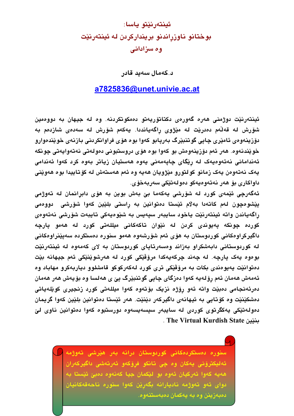## ئينتەرنێتو ياسا: بوختانو ناوزراندنو برينداركردن له ئينتهرنێت وہ سزادانی

د.كەمال سەىد قادر

## a7825836@unet.univie.ac.at

ئينتەرنێت دوژمنی ھەرە گەورەی دكتاتۆريەتو دەمكوتكردنە. وە لە جيھان بە دووەمين شۆرش لە قەلّەم دەدرێت لە مێژوى راگەيانددا. يەكەم شۆرش لە سەدەى شازدەم بە دۆزينەوەي ئامێرى چاپى گوتنبێرگ بەرپابو كەوا بوە ھۆى فراوانكردنى بازنەي خوێندەوارو خوێندنەوە. ھەر ئەم دۆزينەوەش بو كەوا بوە ھۆی دروستبونى دەولەتى نەتەوايەتى چونكە ئەندامانى نەتەوەيەك لە رێگاى چاپەمەنى يەوە ھەستيان زياتر بەوە كرد كەوا ئەندامى يەک نەتەوەن يەک زمانو كولتورو مێژويان ھەيە وە ئەم ھەستەش لە كۆتاييدا بوە ھەوێنى داواكارى بۆ ھەر نەتەوەپەكو دەولەتێكى سەربەخۆي.

ئەگەرچى ئێمەي كورد لە شۆرشى يەكەما بىّ بەش بوين بە ھۆي دابرانمان لە تەوژمى ییْشومچون لهم کاتهدا بهلام ئیْستا دمتوانین به راستی بلیّین کهوا شوّرشی دووممی راگەياندن واتە ئينتەرنێت ياخود سايبەر سيەيس بە شێوەيەكى تايبەت شۆرشى نەتەوەي کورد*ه* چونکه پهیوندی کردن له نێوان تاکهکانی میللهتی کورد له ههمو پارچه داگیرکراوەکانی کوردوستان به هۆی ئەم شۆرشەوە ھەمو سنورە دەستکردە سەيێنراوەکانی له کوردوستانی دابهشکراو بهزاند ومسهرتایای کوردوستان به لای کهمهوه له ئینتهرنیّت بوموه يهک يارچه. له چەند چرکەپەکدا مرۆڤێکى کورد له هەرشوێنێکى ئەم جيهانه بێت دەتوانێت پەيوەندى بكات بە مرۆڤێكى ترى كورد لەكەركوكو قامشلوو دياربەكرو مهاباد وە ئەمەش ھەمان ئەم رۆلەيە كەوا دەزگاي چايى گوتنبێرگ يێ ي ھەلسا وە بۆيەش ھەر ھەمان دەرئەنجامى دەبێت واتە ئەو رۆژە نزیک بۆتەوە كەوا میللەتى كورد زنجیرى كوێلەياتى دەشكێنێت وە كۆتايى بە ئيهانەي داگيركەر دێنێت. ھەر ئێستا دەتوانين بلێين كەوا گريمان دەولەتێكى پەكگرتوي كوردى لە سايبەر سيسەيسەوە دورستبوە كەوا دەتوانين ناوي لێ . The Virtual Kurdish State .

> سنوره دەستكردەكانى كوردوستان درانه بەر ھۆرشى تەوژمە ئەليكترۆنى يەكان وە چى تانكو فرۆكەو ئەرتەشى داگيركەران هەيە كەوا ئەركيان ئەوە بو لێكمان جيا كەنەوە دەبێ ئێستا بە دوای ئەو تەوژمە ناديارانە بگەرێن كەوا سنورە ناحەقەكانيان دەبەزينن وە بە يەكمان دەبەستنەوە.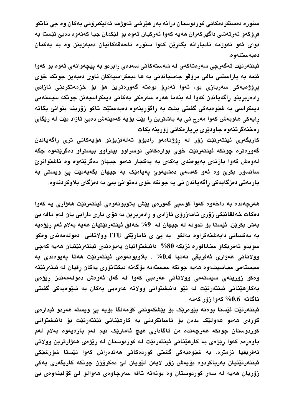سنوره دەستكردەكانى كوردوستان درانه بەر ھێرشى تەوژمە ئەليكترۆنى يەكان وە چى تانكو فرۆكەو ئەرتەشى داگيركەران ھەيە كەوا ئەركيان ئەوە بو لێكمان جيا كەنەوە دەبێ ئێستا بە دوای ئەو تەوژمە ناديارانە بگەرێن كەوا سنورە ناحەقەكانيان دەبەزينن وە بە يەكمان دەبەستنەوە.

ئينتەرنێت ئەگەرچى سەرەتاكەي لە شەستەكانى سەدەي رابردو بە پێچەوانەي ئەوە بو كەوا ئێمه به پاراستنی مافی مرۆڤو چەسپاندنی به ها دیمکراسیەکان ناوی دەبەین چونکه خۆی پرۆژەيەكى سەربازى بو، ئەوا ئەمرۆ بوەتە گەورەترين ھۆ بۆ خزمەتكردنى ئازادى رادەربرينو راگەياندن كەوا لە بنەما ھەرە سەرەكى يەكانى ديمكراسيەتن چونكە سيستەمى دیمکراسی به شێوهیهکی گشتی پشت به راگۆرینهوه دهبهستیت تاکو زۆرینه بتوانیّ بگاته رایهکی هاوبهش کهوا مهرج نی یه باشترین را بێت بۆیه کهمینهش دهبیّ ئازاد بێت له رێگای رەخنەگرتنەوە چاودێرى بريارەكانى زۆرينە بكات.

كاریگەری ئینتەرنێت زۆر لە رۆژنامەو رادیۆو تەلەفزیۆنو ھۆیەكانی تری راگەیاندن گەورەترە چونكە ئينتەرنێت خۆى بوارەكانى نوسراوو بينراوو بيستراو دەگرێتەوە جگە لەوەش كەوا بازنەي پەيوەندى يەكەي بە يەكجار ھەمو جيهان دەگرێتەوە وە ناشتوانرێ سانسۆر بکرێ وه ئەو کەسەي دەشيەوێ پەيامێک بە جيهان بگەپەنێت يێ ويستى بە يارمەتى دەزگايەكى راگەياندن نى يە چونكە خۆي دەتوانىّ بېيّ بە دەزگاي بلاوكردنەوە.

هەرچەندە بە داخەوە كەوا كۆسپى گەورەي يێش بلاوبونەوەي ئينتەرنێت ھەژارى يە كەوا دەكات خەلقانێكى زۆرى تامەزرۆي ئازادى و رادەربرين بە ھۆي بارى دارايى يان لەم مافە بێ بەش بكرێن. ئێستا بۆ نمونە لە جيهان لە 9% خەلق ئينتەرنێتيان ھەيە بەلام ئەم رێژەپە به یهکسانی دابهشنهکراوه بهلکو۔ به پێ ی ئامارێکی ITU وولاتانی۔دەولەمەندی وەکو سويدو ئەمريكاو سنغافورە نزيكە 80% دانيشتوانيان يەيوەندى ئينتەرنێتيان ھەيە كەچى وولاتانى ھەژارى ئەفريقى تەنھا 0.4% . بلاوبونەوەي ئينتەرنێت ھەتا يەيوەندى بە سیستەمی سیاسیشەوە ھەیە چونکە سیستەمە بۆگەنە دیکتاتۆری یەکان رِقیان لە ئینەرنێتە وەكو زۆرينەي سيستەمى وولاتانى عەرەبى كەوا لە گەل ئەوەش دەولەمەندن رێژەي بهکارهێنانی ئینتەرنێت له نێو دانیشتوانی وولاته عەرەبی یەکان به شێوەیەکی گشتی ناگاته 0.6% كەوا زۆر كەمە.

ئينتەرنێت ئێستا بوەتە يێوەرێک بۆ يێشکەوتنى کۆمەلگا بۆيە يێ ويستە ھەردو ئيدارەي کوردی هەمو هەولێک بدەن بۆ ئاسانکردنی به کارهێنانی ئێنتەرنێت بۆ دانیشتوانی كوردوستان چونكه هەرچەندە من ئاگادارى هيچ ئامارێک نيم لەم بارەيەوە بەلام لەم باوەرەم كەوا رێژەي بە كارھێنانى ئینتەرنێت لە كوردوستان لە رێژەي ھەژارترین وولاتى ئەفریقیا نزمتره. به شێوەیەکی گشتی کوردەکانی ھەندەرانن کەوا ئێستا شۆرشێکی ئينتەرنێتيان بەرپاكردوە بۆيەش زۆر لايەن لێويان لێ دەكرۆژن چونكە كاريگەرى يەكى زۆريان هەيە لە سەر كوردوستان وە بونەتە تاقە سەرچاوەي ھەوالو لىّ كۆلينەوەي بىّ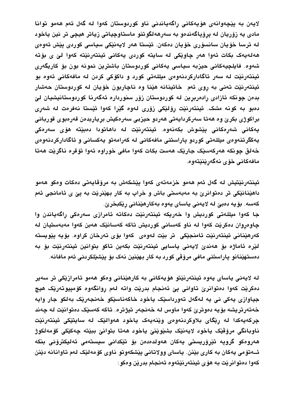لايەن بە يێچەوانەي ھۆيەكانى راگەياندنى ناو كوردوستان كەوا لە گەل ئەم ھەمو توانا مادی په زۆريان له پرۆپاگەندەو بە سەرھەلگوتنو ماستاوچياتى زياتر هيچى تر نين ياخود له ترسا خۆيان سانسۆرى خۆيان دەكەن. ئێستا ھەر لايەنێكى سياسى كوردى پێش ئەوەي هەلەيەک بکات ئەوا ھەر چاوێکى لە سايتە کوردى يەکانى ئينتەرنێتە کەوا لىّٰ ي بۆتە شەوە. فايلچيەكانى حيزبە سياسى يەكانى كوردوستان باشترين نمونە بون بۆ كاريگەرى ئینتەرنێت لە سەر ئاگاداركردنەوەي مىللەتى كورد و داكۆكى كردن لە مافەكانى ئەوە بو ئینتەرنێت تەنی بە روی ئەم خائینانە ھێنا وە ناچاربون خۆپان لە كوردوستان حەشار بدەن چونكە ئازادى رادەربرين لە كوردوستان زۆر سنوردارە ئەگەرنا كوردوستانيشيان لىّ دەبو به كونه مشک. ئینتەرنێت رۆلێکی زۆری لەوە گێرا کەوا ئێستا نەفرەت لە شەری براکوژی بکریؒ وہ هەتا سەرکردايەتی هەردو حیزبی سەرەکیش برياربدەن قەرەبوی قوربانی يەكانى شەرەكانى يێشوش بكەنەوە. ئينتەرنێت لە داھاتودا دەبێتە ھۆى سەرەكى يەكگرتنەوەي مىللەتى كوردو پاراستنى مافەكانى لە كەرامەتو يەكسانى و ئاگاداركردنەوەي خەلق چونكە ھەركەسێک جارێک ھەست بکات كەوا مافى خوراوە ئەوا ئۆقرە ناگرێت ھەتا مافەكانى خۆي نەگەرينيتەوە.

ئينتەرنێتيش لە گەل ئەم ھەمو خزمەتەي كەوا يێشكەش بە مرۆڤاپەتى دەكات وەكو ھەمو داهێنانێکی تر دەتوانرێ به مەبەستی باش و خراپ به کار بهێنرێت به یێ ی ئامانجی ئەم كەسە. بۆيە دەبىّ لە لايەنى ياساي يەوە بەكارھێنانى رێكبخرێ. جا كەوا مىللەتى كورديش وا خەريكە ئېنتەرنێت دەكاتە ئامرازى سەرەكى راگەياندن وا چاوەروان دەكرێت كەوا لە ناو كەسانى كورديش تاكە كەسانێک ھەبن كەوا مەبەستيان لە كەرھێنانى ئينتەرنێت ئامنجێكى تر بێت لەوەي كەوا بۆي تەرخان كراوە. بۆيە پێويستە

لِيْرِهِ ئَامَاژِهِ بِوْ هَەندىٰ لايەنى ياسايى ئينتەرنێت بكەين تاكو بتوانين ئينتەرنێت بۆ بە دەستەينانو پاراستنى مافى مرۆقى كورد بە كار بەينىن نەك بۆ يېشىيلكردنى ئەم مافانە.

له لايەنى ياساي يەوە ئينتەرنێتو ھۆيەكانى بە كارھێنانى وەكو ھەمو ئامرازێكى تر سەير دمکریْت کەوا دەتوانریؒ تاوانی ییؒ ئەنجام بدریْت واته لەم روانگەوە کۆمپیوتەریک ھیچ جياوازي پهکي ني په لهگهل تهورداسٽِک پاخود خاکهناسٽِکو خهنجهرٽِک بهلکو جار وايه خەتەرتريشە بۆيە دەوترێ كەوا ماوس لە خەنجەر تيژترە. تاكە كەسێک دەتوانێت لە چەند چرکەپەکدا لە رێگاى بلاوکردنەوەي وێنەپەک پاخود ھەوالێک لە ساپتێکى ئينتەرنێت ناوبانگي مرۆڤێک ياخود لايەنێک بشێوێنێ ياخود هەتا بتوانێ ببێتە چەکێکی کۆمەلکوژ ھەروەكو گروپە تێرۆريستى يەكان ھەولدەدەن بۆ تێكدانى سيستەمى ئەليكترۆنى بنكە ئــهتۆمى يەكان بە كارى بێنن. ياساي وولاتانى يێشكەوتو ناوي كۆمەلێک لەم تاوانانە دێنن كەوا دەتوانريت بە ھۆي ئينتەرنيتەوە ئەنجام بدرين وەكو :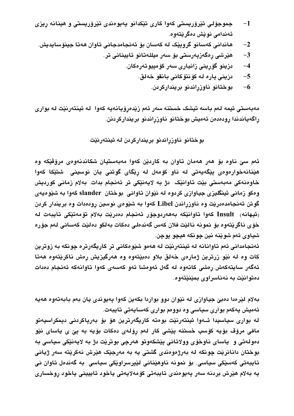- جموجۆلی تێرۆریستی کەوا کاری تێکدانو یەیوەندی تێرۆریستی و هینانه رِیزی  $-1$ ئەندامى نويش دەگريتەوە.
	- هاندانی کەسانو گروپێک لە کەسان بۆ ئەنجامدجانی تاوان ھەتا جینۆساپدیش.  $-2$ 
		- ھێرشى رەگەزپەرستى بۆ سەر مىللەتانو ئايينانى تر.  $-3$ 
			- دزینو گۆرینی زانیاری سەر كۆمپیوتەرەكان.  $-4$ 
				- دزيني پاره له كۆنتۆكانى بانقو خەلق.  $-5$ 
					- بوختانو ناوزراندنو برينداركردن.  $-6$

مەبەستى ئيمە لەم باسە تيشک خستنە سەر ئەم زێدەرۆيانەيە كەوا لە ئينتەرنێت لە بوارى راگەياندندا رودەدەن ئەميش بوختانو ناوزراندنو برينداركردنن.

بوختانو ناوزراندنو برينداركردن له ئينتەرنێت

ئەم سے ناوه بۆ ھەر ھەمان تاوان بە كاردێن كەوا مەبەستيان شكاندنەوەي مرۆڤێكە وە هێنانهخوارمومی یێگەیەتی له ناو کۆمەل له رێگای گوتنی یان نوسینی شتێکا کەوا خاوەنەكى مەبەستى بێت تاوانێک دژ بە لايەنێکى تر ئەنجام بدات. بەلام زمانى كورديش وهکو زمانی ئینگلیزی جیاوازی کردوه له نیوان تاوانی بوختان slander کهوا به شیوهیهی گوتن ئەنجامدەدریت وە ناوزراندن Libel كەوا بە شیوەی نوسین رودەدات وە بریندار كردن رئيهانه) Insult كەوا تاوانێكە بەھەردوجۆر ئەنجام دەدرێت بەلام تۆمەتێكى تايبەت لە خۆي ناگريتەوە بۆ نمونە ناليت فلان كەس گەندەلى دەكات بەلكو دەليت كەسانى لەم جۆرە شياوي ئهم شوٽنه نين چونکه هيچو يوچن.

ئەنجامدانى ئەم تاوانانە لە ئېنتەرنێت لە ھەمو شێوەكانى تر كارېگەرترە چونكە بە زوترين کات وه له نێو زرترین ژمارهی خهلق بلاو دمېێتهوه وه ههرگیزیش رمش ناکرێتهوه ههتا ئەگەر سايتەكەش رەشى كاتەوە لە گەل ئەوەشا ئەو كەسەي كەوا تاوانەكە ئەنجام دەدات دەتوانتت بە نەناسراوي بمتنتتەوە.

بهلام لێرەدا دەبێ جياوازي له نێوان دوو بواردا بکەين کەوا يەيوندى يان بەم بابەتەوە ھەيە ئەميش پەكەم بوارى سياسى وە دوومم بوارى كەساپەتى تايبەت.

له بواری سیاسیدا ئـهوا ئینتەرنێت بوەته کاریگەرترین هۆ بۆ بەریاکردنی دیمکراسیەتو مافی مرۆڤ بۆیه کۆسپ خستنه پێشی کار لەم رۆلەی دەکات بۆیە بە پێ ی یاسای نێو دەولەتى و ياساي ناوخۆي وولاتانى پێشكەوتو ھەرچى بوترێت دژ بە لايەنێكى سياسى بە بوختان دانانريْت چونكه له بەرژەوەندى گشتى يه به مەرجێک هێرش نەكرێتە سەر ژيانى تایبەتی کەسپکی سیاسی. بۆ نمونە ناوھی٘نانی لی٘پرسراویکی سیاسی بە گەندەل تاوان نی يه بەلام هێرش بردنه سەر پەيوەندى تايبەتى كۆمەلايەتى ياخود ئاييينى ياخود روخسارى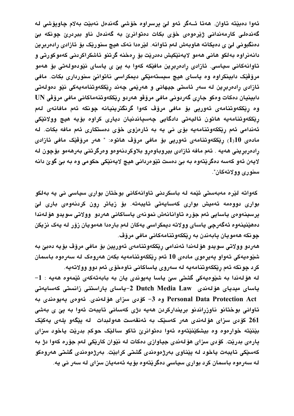ئەوا دەبێتە تاوان. ھەتا ئــەگر ئەو لىّ يرسراوە خۆشى گەندەل نەبێت بەلام چاويۆشى لە گەندەلى كارمەندانى ژێرەوەى خۆى بكات دەتوانرێ بە گەندەل ناو ببردرێ چونكە بێ دەنگبونى لێ ی دەپکاته ھاوبەش لەم تاوانە. لێرەدا نەک ھیچ سنورێک بۆ ئازادی رادەربرین دانەنراوە بەلكو ھانى ھەمو لايەنێكيش دەدرێت بۆ رەخنە گرتنو ئاشكراكردنى كەموكورتى و تاوانەكانى سياسى. ئازادى رادەربرين مافێكە كەوا بە پێ ى ياساي نێودەولەتى بۆ ھەمو مرۆڤێک دابینکراوه وه یاسای هیچ سیستهمێکی دیمکراسی ناتوانیٰ سنورداری بکات. مافی ئازادی رادەربرین له سەر ئاستی جیهانی و هەریمی چەند ریککەوتنامەیەکی نیّو دەولەتی دابينيان دەكات وەكو جارى گەردونى مافى مرۆۋو ھەردو رێككەوتنەماكانى مافى مرۆڤى UN وه ریککەوتنامەی ئەورپی بۆ مافی مرۆف کەوا گرنگترینیانه چونکه ئەم مافانەی لەم رێککەوتنامەيە ھاتون ئاليەتى دادگايى چەسپاندنيان ديارى کراوە بۆيە ھيچ وولاتێکى ئەندامى ئەم رێككەوتنامەيە بۆي نى يە بە ئارەزوي خۆي دەستكارى ئەم مافە بكات. لە مادەي 19(1) رێككەوتنامەي ئەورپى بۆ مافى مرۆڤ ھاتوە: " ھەر مرۆڤێک مافى ئازادى رادەربرينى ھەيە . ئەم مافە ئازادى بيروباوەرو بلاوكردنەوەو وەرگرتنى بەرھەمو بۆچون لە لايەن ئەو كەسە دەگرێتەوە بە بێ دەست تێوەردانى ھيچ لايەنێكى حكومى وە بە بێ گوێ دانە سنوری وولاتهکان".

کەواتە لێرە مەبەستى ئێمە لە باسکردنى تاوانەکانى بوختان بوارى سياسى نى يە بەلکو بواری دوودمه ئەمیش بواری کەسایەتی تایبەتە. بۆ زیاتر رون کردنەودی باری لیّ يرسينەوەي ياسايى ئەم جۆرە تاوانانەش نمونەي ياساكانى ھەردو وولاتى سويدو ھۆلەندا دەھێنپنەوە ئەگەرچى ياساي وولاتە ديمكراسى يەكان لەم بارەدا ھەمويان زۆر لە يەك نزيكن چونکه ههمویان پابهندن به ریککهوتنامهکانی مافی مروّڤ.

هەردو وولاتى سويدو هۆلەندا ئەندامى رێككەوتنامەي ئەورپين بۆ مافى مرۆڤ بۆيە دەبێ بە شێوەپەكى تەواو پەيرەوي مادەي 10 ئەم رێككەوتنامەپە بكەن ھەروەك لە سەرەوە باسمان كرد چونكه ئەم رێككەوتنامەيە لە سەروى ياساكانى ناوەخۆى ئەم دوو وولاتەيە.

له هۆلەندا بە شێوەپەكى گشتى سێ پاسا پەيوندى پان بە بابەتەكەي ئێمەوە ھەپە : 1-ياساي ميدياي ھۆلەندى Dutch Media Law 2-ياساي پاراستنى زانستى كەسايەتى Personal Data Protection Act وه 3- كۆدى سزاى هۆلەندى. ئەوەي يەيوەندى بە تاوانی بوختانو ناوزراندنو بریندارکردن هەپە دژی کەسانی تاپبەت ئەوا بە يێ ی بەشی 261 كۆدى سزاي ھۆلەندى ھەر كەسپك بە ئەنقەست ھەولبدات لە يېگەو يلەي يەكپّك بێنێته خوارەوه وه بیشکێنێتەوه ئەوا دەتوانرێ تاکو سالێک حوکم بدرێت یاخود سزای پارەي بدريْت. كۆدى سزاي ھۆلەندى جياوازى دەكات لە نێوان كارێكى لەم جۆرە كەوا دژ بە كەسێكى تايبەت ياخود لە يێناوي بەرژەوەندى گشتى كرابێت. بەرژەوەندى گشتى ھەروەكو له سەرەوە باسمان كرد بوارى سياسى دەگريتەوە بۆيە ئەمەيان سزاى لە سەر نى يە.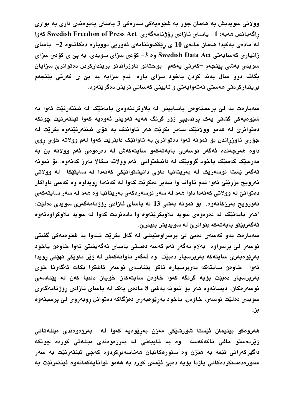وولاتي سويديش به ههمان جۆر به شێوەپەكى سەرەكى 3 پاساي پەيوەندى دارى بە بوارى رِاگەياندن ھەيە: 1- ياساي ئازادى رِۆژنامەگەرى Swedish Freedom of Press Act كەوا له مادەی يەكيدا ھەمان مادەی 10 ی رێككەوتنامەی ئەورپی دووبارە دەكاتەوە 2– ياسای زانیاری کهسایهتی Swedish Data Act وه 3– کۆدی سزای سویدی. به پێ ی کۆدی سزای سویدی بەشی پێنجەم –کەرتی یەکەم– بوختانو ناوزراندنو بریندارکردن دەتوانرێ سزایان بگاته دوو سال بهند کردن یاخود سزای پاره. ئهم سزایه به پێ ی کهرتی پێنجهم بریندارکردنی هەستی نەتەواپەتی و ئايینی کەسانی تریش دەگریتەوە.

سەبارەت بە لىّ يرسينەوەي ياساييش لە بلاوكردنەوەي بابەتێک لە ئينتەرنێت ئەوا بە شێوەيەكى گشتى يەک پرنسيپى زۆر گرنگ ھەيە ئەويش ئەوەيە كەوا ئينتەرنێت چونكە دمتوانريّ له ههمو وولاتێک سهير بکرێت ههر تاوانێک به هوّی ئینتهرنێتهوه بکرێت له جۆری ناوزراندن بۆ نمونه ئەوا دەتوانرێ بە تاوانێک دابنرێت کەوا لەم وولاتە خۆی روی داوه هەرچەندە ئەگەر نوسەرى بابەتەكەو سايتەكەش لە دەرەوەى ئەم وولاتە بن بە مەرجێک کەسێک ياخود گرويێک لە دانيشتواني ئەم وولاتە سکالا بەرز کەنەوە. بۆ نمونە ئەگەر يْستا نوسەريْک لە بەريتانيا ناوى دانيشتوانيْکى کەنەدا لە سايتيْکا لە وولاتى نەروپج بزرينيّ ئەوا ئەم تاوانە وا سەير دەكريّت كەوا لە كەنەدا رويداوە وە كەسى داواكار دەتوانىّ له وولاتى كەنەدا داوا ھەم لە سەر نوسەرەكەي بەريتانيا وە ھەم لە سەر سايتەكەي نەورويج بەرزكاتەوە. بۆ نمونە بەشى 13 لە ياساي ئازادى رۆژنامەگەرى سويدى دەلێت: "هەر بابەتێک لە دەرەوەي سويد بلاوبکرێتەوە وا دادەنرێت کەوا لە سويد بلاوکراوەتەوە ئەگەربێتو بابەتەكە بتوانرێ لە سويديش ببينرێ.

سەبارەت بەو كەسەي دەبىّ لىّ پرسراوەتيشى لە گەل بكرێت ئـەوا بە شێوەيەكى گشتى نوسەر لىّ يرسراوە بەلام ئەگەر ئەم كەسە دەستى ياساي نەگەيشتىّ ئەوا خاوەن ياخود بەرپوەبەرى ساپتەكە بەريرسيار دەبيّت وە ئەگەر تاوانەكەش لە ژیّر ناویّکى نەیّنى رويدا ئەوا خاوەن سايتەكە بەريرسيارە تاكو يێناسەي نوسەر ئاشكرا بكات ئەگەرنا خۆي بەرپرسيار دەبێت بۆيە گرنگە كەوا خاوەن سايتەكان خۆيان دلنيا كەن لە يێناسەي نوسەرەكان. ديسانەوە ھەر بۆ نمونە بەشى 8 مادەي يەك لە ياساي ئازادى رۆژنامەگەرى سويدي دەلێت نوسەر، خاوەن، ياخود بەرێوەبەرى دەزگاكە دەتوانن روبەروى لێ پرسينەوە بن.

ھەروەكو بينيمان ئێستا شۆرشێكى مەزن بەرێوەيە كەوا لە بەرژەوەندى مىللەتانى ژێردەستو مافی تاکەکەسە وە بە تايبەتی لە بەرژەوەندی میللەتی کوردە چونکە داگیرکەرانی ئێمه به هێزن وه سنورەکانیان هەناسەبرکردوه کەچی ئینتەرنێت بە سەر سنورەدەستكردەكانى يازدا بۆيە دەبىّ ئێمەي كورد بە ھەمو توانايەكمانەوە ئينتەرنێت بە